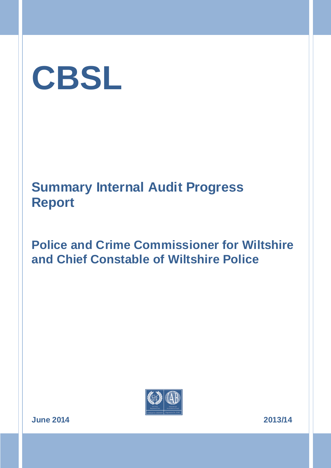

## **Police and Crime Commissioner for Wiltshire and Chief Constable of Wiltshire Police**



**June 2014 2013/14**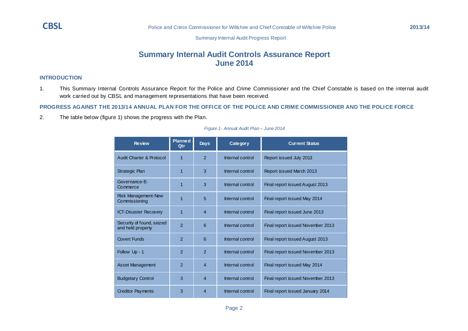### **Summary Internal Audit Controls Assurance Report June 2014**

#### **INTRODUCTION**

1. This Summary Internal Controls Assurance Report for the Police and Crime Commissioner and the Chief Constable is based on the internal audit work carried out by CBSL and management representations that have been received.

#### **PROGRESS AGAINST THE 2013/14 ANNUAL PLAN FOR THE OFFICE OF THE POLICE AND CRIME COMMISSIONER AND THE POLICE FORCE**

2. The table below (figure 1) shows the progress with the Plan.

| <b>Review</b>                                  | <b>Planned</b><br>Qtr | <b>Days</b>    | Cate gor y       | <b>Current Status</b>             |
|------------------------------------------------|-----------------------|----------------|------------------|-----------------------------------|
| Audit Charter & Protocol                       | 1                     | $\mathcal{P}$  | Internal control | Report issued July 2013           |
| <b>Strategic Plan</b>                          | 1                     | 3              | Internal control | Report issued March 2013          |
| Governance-E-<br>Commerce                      | 1                     | 3              | Internal control | Final report issued August 2013   |
| Risk Management-New<br>Commissioning           | 1                     | 5              | Internal control | Final report issued May 2014      |
| <b>ICT-Disaster Recovery</b>                   | 1                     | $\overline{4}$ | Internal control | Final report issued June 2013     |
| Security of found, seized<br>and held property | $\overline{2}$        | 6              | Internal control | Final report issued November 2013 |
| <b>Covert Funds</b>                            | $\overline{2}$        | 6              | Internal control | Final report issued August 2013   |
| Follow Up - 1                                  | $\overline{2}$        | $\overline{2}$ | Internal control | Final report issued November 2013 |
| <b>Asset Management</b>                        | $\overline{2}$        | $\overline{4}$ | Internal control | Final report issued May 2014      |
| <b>Budgetary Control</b>                       | 3                     | $\overline{4}$ | Internal control | Final report issued November 2013 |
| <b>Creditor Payments</b>                       | 3                     | $\overline{4}$ | Internal control | Final report issued January 2014  |

#### *Figure 1- Annual Audit Plan – June 2014*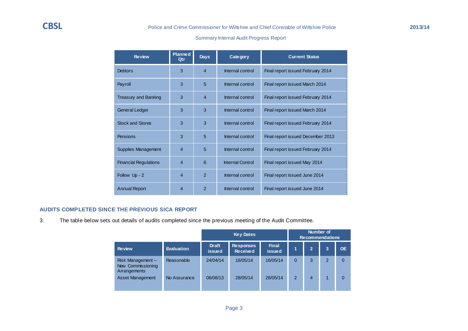| <b>Review</b>                | <b>Planned</b><br><b>Qtr</b> | <b>Days</b>    | Cate gor y              | <b>Current Status</b>             |
|------------------------------|------------------------------|----------------|-------------------------|-----------------------------------|
| <b>Debtors</b>               | 3                            | $\overline{4}$ | Internal control        | Final report issued February 2014 |
| Payroll                      | 3                            | 5              | Internal control        | Final report issued March 2014    |
| <b>Treasury and Banking</b>  | 3                            | $\overline{4}$ | Internal control        | Final report issued February 2014 |
| <b>General Ledger</b>        | 3                            | 3              | Internal control        | Final report issued March 2014    |
| <b>Stock and Stores</b>      | 3                            | 3              | Internal control        | Final report issued February 2014 |
| Pensions                     | 3                            | 5              | Internal control        | Final report issued December 2013 |
| Supplies Management          | $\overline{4}$               | 5              | Internal control        | Final report issued February 2014 |
| <b>Financial Regulations</b> | $\overline{4}$               | 6              | <b>Internal Control</b> | Final report issued May 2014      |
| Follow Up - 2                | $\overline{4}$               | $\mathcal{P}$  | Internal control        | Final report issued June 2014     |
| <b>Annual Report</b>         | $\overline{4}$               | $\overline{2}$ | Internal control        | Final report issued June 2014     |

#### **AUDITS COMPLETED SINCE THE PREVIOUS SICA REPORT**

3. The table below sets out details of audits completed since the previous meeting of the Audit Committee.

|                                                       |                   | <b>Key Dates</b>              |                                     |                               | Number of<br><b>Recommendations</b> |              |                |           |
|-------------------------------------------------------|-------------------|-------------------------------|-------------------------------------|-------------------------------|-------------------------------------|--------------|----------------|-----------|
| <b>Review</b>                                         | <b>Evaluation</b> | <b>Draft</b><br><b>issued</b> | <b>Responses</b><br><b>Received</b> | <b>Final</b><br><b>issued</b> | 1                                   | $\mathbf{2}$ | 3              | <b>OE</b> |
| Risk Management-<br>New Commissioning<br>Arrangements | Reasonable        | 24/04/14                      | 16/05/14                            | 16/05/14                      | 0                                   | 3            | $\overline{2}$ | 0         |
| <b>Asset Management</b>                               | No Assurance      | 06/08/13                      | 28/05/14                            | 28/05/14                      | 2                                   | 4            | 1              | $\Omega$  |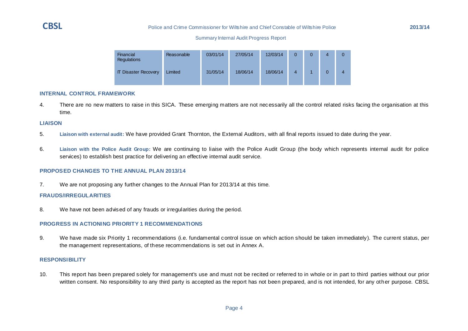#### **CBSL** Police and Crime Commissioner for Wiltshire and Chief Constable of Wiltshire Police **2013/14**

#### Summary Internal Audit Progress Report

| <b>Financial</b><br>Regulations | Reasonable | 03/01/14 | 27/05/14 | 12/03/14 | 0 | 0 |
|---------------------------------|------------|----------|----------|----------|---|---|
| <b>IT Disaster Recovery</b>     | Limited    | 31/05/14 | 18/06/14 | 18/06/14 |   |   |

#### **INTERNAL CONTROL FRAMEWORK**

4. There are no new matters to raise in this SICA. These emerging matters are not necessarily all the control related risks facing the organisation at this time.

#### **LIAISON**

- 5. **Liaison with external audit:** We have provided Grant Thornton, the External Auditors, with all final reports issued to date during the year.
- 6. **Liaison with the Police Audit Group:** We are continuing to liaise with the Police Audit Group (the body which represents internal audit for police services) to establish best practice for delivering an effective internal audit service.

#### **PROPOSED CHANGES TO THE ANNUAL PLAN 2013/14**

7. We are not proposing any further changes to the Annual Plan for 2013/14 at this time.

#### **FRAUDS/IRREGULARITIES**

8. We have not been advised of any frauds or irregularities during the period.

#### **PROGRESS IN ACTIONING PRIORITY 1 RECOMMENDATIONS**

9. We have made six Priority 1 recommendations (i.e. fundamental control issue on which action should be taken immediately). The current status, per the management representations, of these recommendations is set out in Annex A.

#### **RESPONSIBILITY**

10. This report has been prepared solely for management's use and must not be recited or referred to in whole or in part to third parties without our prior written consent. No responsibility to any third party is accepted as the report has not been prepared, and is not intended, for any other purpose. CBSL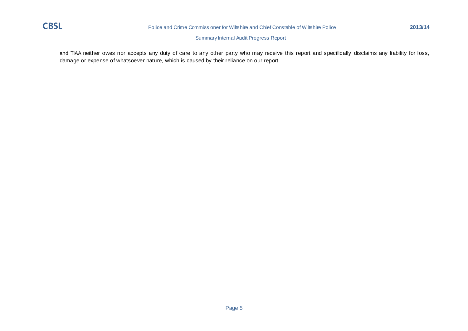

and TIAA neither owes nor accepts any duty of care to any other party who may receive this report and specifically disclaims any liability for loss, damage or expense of whatsoever nature, which is caused by their reliance on our report.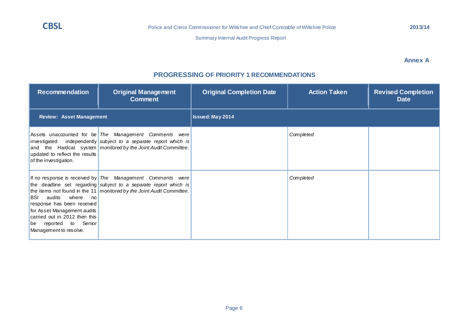**PROGRESSING OF PRIORITY 1 RECOMMENDATIONS**

#### **Annex A**

# **Comment** *The Management Comments were Completed*

| <b>Recommendation</b>                                                                                                                                                | <b>Original Management</b><br><b>Comment</b>                                                                                                                                                                  | <b>Original Completion Date</b> | <b>Action Taken</b> | <b>Revised Completion</b><br><b>Date</b> |  |  |  |
|----------------------------------------------------------------------------------------------------------------------------------------------------------------------|---------------------------------------------------------------------------------------------------------------------------------------------------------------------------------------------------------------|---------------------------------|---------------------|------------------------------------------|--|--|--|
| <b>Review: Asset Management</b>                                                                                                                                      |                                                                                                                                                                                                               | <b>Issued: May 2014</b>         |                     |                                          |  |  |  |
| updated to reflect the results<br>of the investigation.                                                                                                              | Assets unaccounted for be The Management Comments were<br>investigated independently subject to a separate report which is<br>and the Hardcat system monitored by the Joint Audit Committee.                  |                                 | Completed           |                                          |  |  |  |
| BSI audits where no<br>response has been received<br>for Asset Management audits<br>carried out in 2012 then this<br>be reported to Senior<br>Management to resolve. | If no response is received by $ $ The Management Comments were<br>the deadline set regarding subject to a separate report which is<br>the items not found in the 11   monitored by the Joint Audit Committee. |                                 | Completed           |                                          |  |  |  |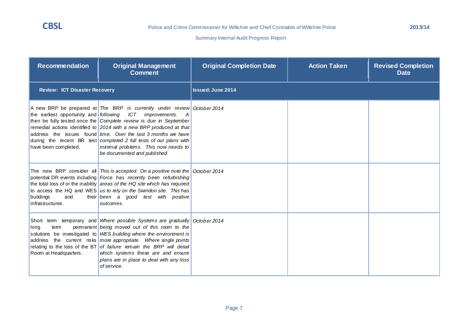| <b>Recommendation</b>                | <b>Original Management</b><br><b>Comment</b>                                                                                                                                                                                                                                                                                                                                                                                                                                                       | <b>Original Completion Date</b> | <b>Action Taken</b> | <b>Revised Completion</b><br><b>Date</b> |
|--------------------------------------|----------------------------------------------------------------------------------------------------------------------------------------------------------------------------------------------------------------------------------------------------------------------------------------------------------------------------------------------------------------------------------------------------------------------------------------------------------------------------------------------------|---------------------------------|---------------------|------------------------------------------|
| <b>Review: ICT Disaster Recovery</b> |                                                                                                                                                                                                                                                                                                                                                                                                                                                                                                    | <b>Issued: June 2014</b>        |                     |                                          |
| have been completed.                 | A new BRP be prepared at The BRP is currently under review October 2014<br>the earliest opportunity and following ICT improvements.<br>A<br>then be fully tested once the Complete review is due in September<br>remedial actions identified to 2014 with a new BRP produced at that<br>address the issues found time. Over the last 3 months we have<br>during the recent BR test completed 2 full tests of our plans with<br>minimal problems. This now needs to<br>be documented and published. |                                 |                     |                                          |
| buildings<br>and<br>infrastructures. | The new BRP consider all This is accepted. On a positive note the $\sqrt{$ October 2014<br>potential DR events including Force has recently been refurbishing<br>the total loss of or the inability areas of the HQ site which has required<br>to access the HQ and WES us to rely on the Swindon site. This has<br>their been a good test with positive<br>outcomes.                                                                                                                              |                                 |                     |                                          |
| tem<br>long<br>Room at Headquarters. | Short tem temporary and Where possible Systems are gradually October 2014<br>permanent being moved out of this room to the<br>solutions be investigated to WES building where the environment is<br>address the current risks more appropriate. Where single points<br>relating to the loss of the BT of failure remain the BRP will detail<br>which systems these are and ensure<br>plans are in place to deal with any loss<br>of service.                                                       |                                 |                     |                                          |